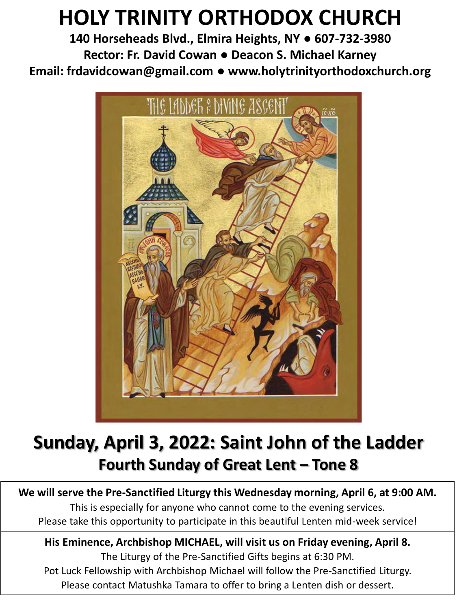# **HOLY TRINITY ORTHODOX CHURCH**

**140 Horseheads Blvd., Elmira Heights, NY ● 607-732-3980 Rector: Fr. David Cowan ● Deacon S. Michael Karney Email: frdavidcowan@gmail.com ● www.holytrinityorthodoxchurch.org**



# **Sunday, April 3, 2022: Saint John of the Ladder Fourth Sunday of Great Lent – Tone 8**

### **We will serve the Pre-Sanctified Liturgy this Wednesday morning, April 6, at 9:00 AM.**

This is especially for anyone who cannot come to the evening services. Please take this opportunity to participate in this beautiful Lenten mid-week service!

# **His Eminence, Archbishop MICHAEL, will visit us on Friday evening, April 8.**

The Liturgy of the Pre-Sanctified Gifts begins at 6:30 PM. Pot Luck Fellowship with Archbishop Michael will follow the Pre-Sanctified Liturgy. Please contact Matushka Tamara to offer to bring a Lenten dish or dessert.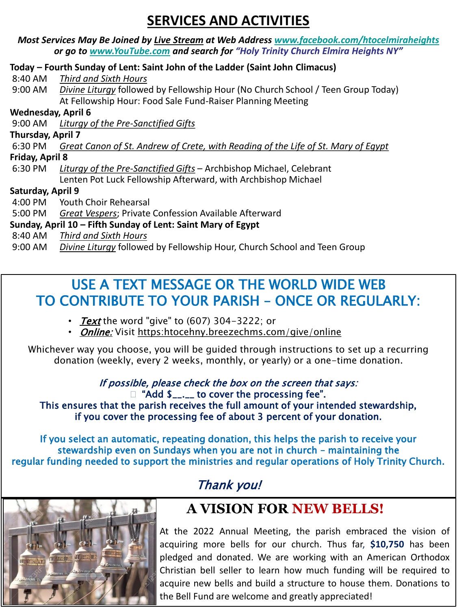## **SERVICES AND ACTIVITIES**

|                           | Most Services May Be Joined by Live Stream at Web Address www.facebook.com/htocelmiraheights<br>or go to www.YouTube.com and search for "Holy Trinity Church Elmira Heights NY" |
|---------------------------|---------------------------------------------------------------------------------------------------------------------------------------------------------------------------------|
|                           | Today – Fourth Sunday of Lent: Saint John of the Ladder (Saint John Climacus)                                                                                                   |
| 8:40 AM                   | Third and Sixth Hours                                                                                                                                                           |
|                           | 9:00 AM Divine Liturgy followed by Fellowship Hour (No Church School / Teen Group Today)                                                                                        |
|                           | At Fellowship Hour: Food Sale Fund-Raiser Planning Meeting                                                                                                                      |
| <b>Wednesday, April 6</b> |                                                                                                                                                                                 |
| 9:00 AM                   | Liturgy of the Pre-Sanctified Gifts                                                                                                                                             |
| Thursday, April 7         |                                                                                                                                                                                 |
| 6:30 PM                   | Great Canon of St. Andrew of Crete, with Reading of the Life of St. Mary of Egypt                                                                                               |
| Friday, April 8           |                                                                                                                                                                                 |
| 6:30 PM                   | Liturgy of the Pre-Sanctified Gifts - Archbishop Michael, Celebrant                                                                                                             |
|                           | Lenten Pot Luck Fellowship Afterward, with Archbishop Michael                                                                                                                   |
| Saturday, April 9         |                                                                                                                                                                                 |
| 4:00 PM                   | <b>Youth Choir Rehearsal</b>                                                                                                                                                    |
| 5:00 PM                   | Great Vespers; Private Confession Available Afterward                                                                                                                           |
|                           | Sunday, April 10 – Fifth Sunday of Lent: Saint Mary of Egypt                                                                                                                    |
| 8:40 AM                   | Third and Sixth Hours                                                                                                                                                           |
| 9:00 AM                   | Divine Liturgy followed by Fellowship Hour, Church School and Teen Group                                                                                                        |

## USE A TEXT MESSAGE OR THE WORLD WIDE WEB TO CONTRIBUTE TO YOUR PARISH – ONCE OR REGULARLY:

- Text the word "give" to  $(607)$  304-3222: or
- *Online:* Visit https:htocehny.breezechms.com/give/online

Whichever way you choose, you will be guided through instructions to set up a recurring donation (weekly, every 2 weeks, monthly, or yearly) or a one-time donation.

> If possible, please check the box on the screen that says: □ "Add \$\_\_.\_\_ to cover the processing fee".

This ensures that the parish receives the full amount of your intended stewardship, if you cover the processing fee of about 3 percent of your donation.

If you select an automatic, repeating donation, this helps the parish to receive your stewardship even on Sundays when you are not in church – maintaining the regular funding needed to support the ministries and regular operations of Holy Trinity Church.

## Thank you!



# **A VISION FOR NEW BELLS!**

At the 2022 Annual Meeting, the parish embraced the vision of acquiring more bells for our church. Thus far, **\$10,750** has been pledged and donated. We are working with an American Orthodox Christian bell seller to learn how much funding will be required to acquire new bells and build a structure to house them. Donations to the Bell Fund are welcome and greatly appreciated!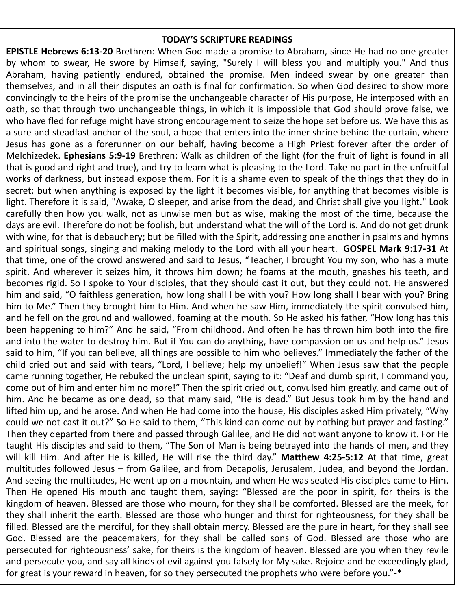#### **TODAY'S SCRIPTURE READINGS**

**EPISTLE Hebrews 6:13-20** Brethren: When God made a promise to Abraham, since He had no one greater by whom to swear, He swore by Himself, saying, "Surely I will bless you and multiply you." And thus Abraham, having patiently endured, obtained the promise. Men indeed swear by one greater than themselves, and in all their disputes an oath is final for confirmation. So when God desired to show more convincingly to the heirs of the promise the unchangeable character of His purpose, He interposed with an oath, so that through two unchangeable things, in which it is impossible that God should prove false, we who have fled for refuge might have strong encouragement to seize the hope set before us. We have this as a sure and steadfast anchor of the soul, a hope that enters into the inner shrine behind the curtain, where Jesus has gone as a forerunner on our behalf, having become a High Priest forever after the order of Melchizedek. **Ephesians 5:9-19** Brethren: Walk as children of the light (for the fruit of light is found in all that is good and right and true), and try to learn what is pleasing to the Lord. Take no part in the unfruitful works of darkness, but instead expose them. For it is a shame even to speak of the things that they do in secret; but when anything is exposed by the light it becomes visible, for anything that becomes visible is light. Therefore it is said, "Awake, O sleeper, and arise from the dead, and Christ shall give you light." Look carefully then how you walk, not as unwise men but as wise, making the most of the time, because the days are evil. Therefore do not be foolish, but understand what the will of the Lord is. And do not get drunk with wine, for that is debauchery; but be filled with the Spirit, addressing one another in psalms and hymns and spiritual songs, singing and making melody to the Lord with all your heart. **GOSPEL Mark 9:17-31** At that time, one of the crowd answered and said to Jesus, "Teacher, I brought You my son, who has a mute spirit. And wherever it seizes him, it throws him down; he foams at the mouth, gnashes his teeth, and becomes rigid. So I spoke to Your disciples, that they should cast it out, but they could not. He answered him and said, "O faithless generation, how long shall I be with you? How long shall I bear with you? Bring him to Me." Then they brought him to Him. And when he saw Him, immediately the spirit convulsed him, and he fell on the ground and wallowed, foaming at the mouth. So He asked his father, "How long has this been happening to him?" And he said, "From childhood. And often he has thrown him both into the fire and into the water to destroy him. But if You can do anything, have compassion on us and help us." Jesus said to him, "If you can believe, all things are possible to him who believes." Immediately the father of the child cried out and said with tears, "Lord, I believe; help my unbelief!" When Jesus saw that the people came running together, He rebuked the unclean spirit, saying to it: "Deaf and dumb spirit, I command you, come out of him and enter him no more!" Then the spirit cried out, convulsed him greatly, and came out of him. And he became as one dead, so that many said, "He is dead." But Jesus took him by the hand and lifted him up, and he arose. And when He had come into the house, His disciples asked Him privately, "Why could we not cast it out?" So He said to them, "This kind can come out by nothing but prayer and fasting." Then they departed from there and passed through Galilee, and He did not want anyone to know it. For He taught His disciples and said to them, "The Son of Man is being betrayed into the hands of men, and they will kill Him. And after He is killed, He will rise the third day." **Matthew 4:25-5:12** At that time, great multitudes followed Jesus – from Galilee, and from Decapolis, Jerusalem, Judea, and beyond the Jordan. And seeing the multitudes, He went up on a mountain, and when He was seated His disciples came to Him. Then He opened His mouth and taught them, saying: "Blessed are the poor in spirit, for theirs is the kingdom of heaven. Blessed are those who mourn, for they shall be comforted. Blessed are the meek, for they shall inherit the earth. Blessed are those who hunger and thirst for righteousness, for they shall be filled. Blessed are the merciful, for they shall obtain mercy. Blessed are the pure in heart, for they shall see God. Blessed are the peacemakers, for they shall be called sons of God. Blessed are those who are persecuted for righteousness' sake, for theirs is the kingdom of heaven. Blessed are you when they revile and persecute you, and say all kinds of evil against you falsely for My sake. Rejoice and be exceedingly glad, for great is your reward in heaven, for so they persecuted the prophets who were before you."-\*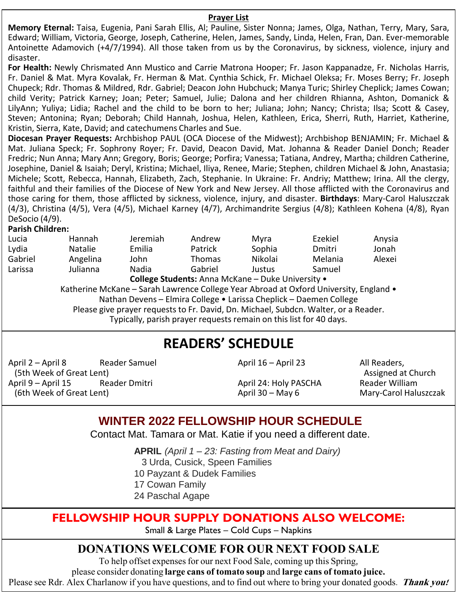#### **Prayer List**

**Memory Eternal:** Taisa, Eugenia, Pani Sarah Ellis, Al; Pauline, Sister Nonna; James, Olga, Nathan, Terry, Mary, Sara, Edward; William, Victoria, George, Joseph, Catherine, Helen, James, Sandy, Linda, Helen, Fran, Dan. Ever-memorable Antoinette Adamovich (+4/7/1994). All those taken from us by the Coronavirus, by sickness, violence, injury and disaster.

**For Health:** Newly Chrismated Ann Mustico and Carrie Matrona Hooper; Fr. Jason Kappanadze, Fr. Nicholas Harris, Fr. Daniel & Mat. Myra Kovalak, Fr. Herman & Mat. Cynthia Schick, Fr. Michael Oleksa; Fr. Moses Berry; Fr. Joseph Chupeck; Rdr. Thomas & Mildred, Rdr. Gabriel; Deacon John Hubchuck; Manya Turic; Shirley Cheplick; James Cowan; child Verity; Patrick Karney; Joan; Peter; Samuel, Julie; Dalona and her children Rhianna, Ashton, Domanick & LilyAnn; Yuliya; Lidia; Rachel and the child to be born to her; Juliana; John; Nancy; Christa; Ilsa; Scott & Casey, Steven; Antonina; Ryan; Deborah; Child Hannah, Joshua, Helen, Kathleen, Erica, Sherri, Ruth, Harriet, Katherine, Kristin, Sierra, Kate, David; and catechumens Charles and Sue.

**Diocesan Prayer Requests:** Archbishop PAUL (OCA Diocese of the Midwest); Archbishop BENJAMIN; Fr. Michael & Mat. Juliana Speck; Fr. Sophrony Royer; Fr. David, Deacon David, Mat. Johanna & Reader Daniel Donch; Reader Fredric; Nun Anna; Mary Ann; Gregory, Boris; George; Porfira; Vanessa; Tatiana, Andrey, Martha; children Catherine, Josephine, Daniel & Isaiah; Deryl, Kristina; Michael, Iliya, Renee, Marie; Stephen, children Michael & John, Anastasia; Michele; Scott, Rebecca, Hannah, Elizabeth, Zach, Stephanie. In Ukraine: Fr. Andriy; Matthew; Irina. All the clergy, faithful and their families of the Diocese of New York and New Jersey. All those afflicted with the Coronavirus and those caring for them, those afflicted by sickness, violence, injury, and disaster. **Birthdays**: Mary-Carol Haluszczak (4/3), Christina (4/5), Vera (4/5), Michael Karney (4/7), Archimandrite Sergius (4/8); Kathleen Kohena (4/8), Ryan DeSocio (4/9).

#### **Parish Children:**

| Lucia   | Hannah         | Jeremiah                                                           | Andrew        | Myra                                              | Ezekiel                                                                               | Anysia |
|---------|----------------|--------------------------------------------------------------------|---------------|---------------------------------------------------|---------------------------------------------------------------------------------------|--------|
| Lydia   | <b>Natalie</b> | Emilia                                                             | Patrick       | Sophia                                            | Dmitri                                                                                | Jonah  |
| Gabriel | Angelina       | John                                                               | <b>Thomas</b> | Nikolai                                           | Melania                                                                               | Alexei |
| Larissa | Julianna       | Nadia                                                              | Gabriel       | Justus                                            | Samuel                                                                                |        |
|         |                |                                                                    |               | College Students: Anna McKane - Duke University . |                                                                                       |        |
|         |                |                                                                    |               |                                                   | Katherine McKane - Sarah Lawrence College Year Abroad at Oxford University, England . |        |
|         |                |                                                                    |               |                                                   | Nathan Devens - Elmira College . Larissa Cheplick - Daemen College                    |        |
|         |                |                                                                    |               |                                                   | Please give prayer requests to Fr. David, Dn. Michael, Subdcn. Walter, or a Reader.   |        |
|         |                | Typically, parish prayer requests remain on this list for 40 days. |               |                                                   |                                                                                       |        |
|         |                |                                                                    |               |                                                   |                                                                                       |        |

### **READERS' SCHEDULE**

April 2 – April 8 Reader Samuel (5th Week of Great Lent)<br>pril 9 – April 15 Reader Dmitri April 9 – April 15 (6th Week of Great Lent)

April 16 – April 23 All Readers,

April 24: Holy PASCHA<br>April 30 – May 6

Assigned at Church<br>Reader William Mary-Carol Haluszczak

### **WINTER 2022 FELLOWSHIP HOUR SCHEDULE**

Contact Mat. Tamara or Mat. Katie if you need a different date.

**APRIL** *(April 1 – 23: Fasting from Meat and Dairy)*

3 Urda, Cusick, Speen Families

10 Payzant & Dudek Families

17 Cowan Family

24 Paschal Agape

### **FELLOWSHIP HOUR SUPPLY DONATIONS ALSO WELCOME:**

Small & Large Plates – Cold Cups – Napkins

### **DONATIONS WELCOME FOR OUR NEXT FOOD SALE**

To help offset expenses for our next Food Sale, coming up this Spring,

please consider donating **large cans of tomato soup** and **large cans of tomato juice.**

Please see Rdr. Alex Charlanow if you have questions, and to find out where to bring your donated goods. **Thank you!**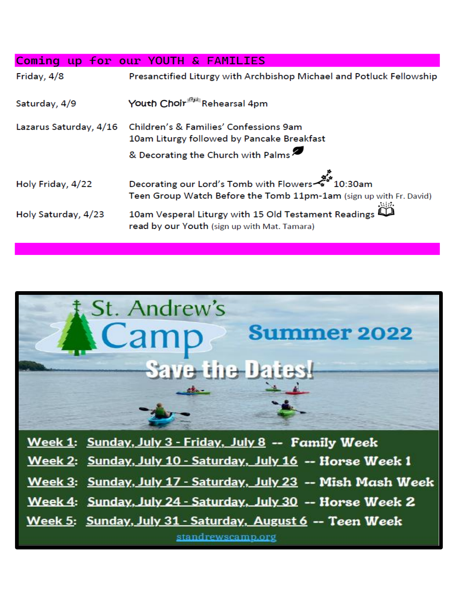|                        | Coming up for our YOUTH & FAMILIES                                                                                                                                                                                     |
|------------------------|------------------------------------------------------------------------------------------------------------------------------------------------------------------------------------------------------------------------|
| Friday, 4/8            | Presanctified Liturgy with Archbishop Michael and Potluck Fellowship                                                                                                                                                   |
| Saturday, 4/9          | Youth Choir <sup>##</sup> Rehearsal 4pm                                                                                                                                                                                |
| Lazarus Saturday, 4/16 | Children's & Families' Confessions 9am                                                                                                                                                                                 |
|                        | 10am Liturgy followed by Pancake Breakfast                                                                                                                                                                             |
|                        | & Decorating the Church with Palms                                                                                                                                                                                     |
| Holy Friday, 4/22      | مجمع المسلم بالمجموع المسلم المسلم المسلم المسلم المسلم المسلم المسلم المسلم المسلم المسلم المسلم ال<br>سمارات المسلم المسلم المسلم المسلم المسلم المسلم المسلم المسلم المسلم المسلم المسلم المسلم المسلم المسلم المسل |
|                        | Teen Group Watch Before the Tomb 11pm-1am (sign up with Fr. David)                                                                                                                                                     |
| Holy Saturday, 4/23    | 10am Vesperal Liturgy with 15 Old Testament Readings<br>read by our Youth (sign up with Mat. Tamara)                                                                                                                   |